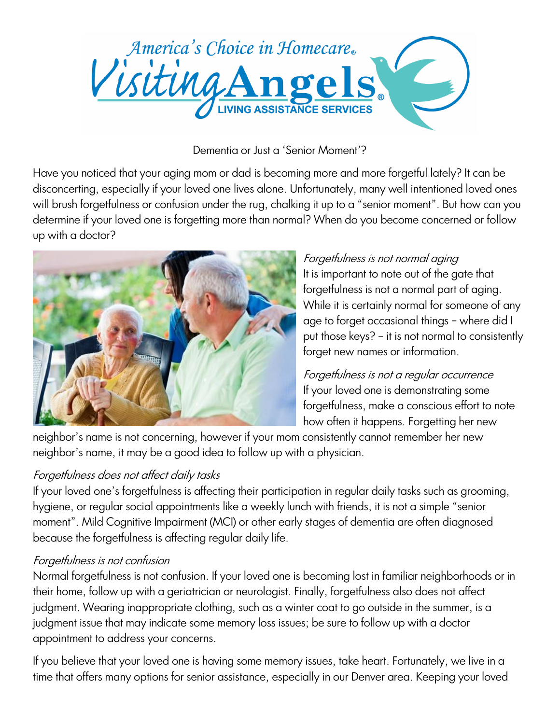

## Dementia or Just a 'Senior Moment'?

Have you noticed that your aging mom or dad is becoming more and more forgetful lately? It can be disconcerting, especially if your loved one lives alone. Unfortunately, many well intentioned loved ones will brush forgetfulness or confusion under the rug, chalking it up to a "senior moment". But how can you determine if your loved one is forgetting more than normal? When do you become concerned or follow up with a doctor?



## Forgetfulness is not normal aging

It is important to note out of the gate that forgetfulness is not a normal part of aging. While it is certainly normal for someone of any age to forget occasional things – where did I put those keys? – it is not normal to consistently forget new names or information.

Forgetfulness is not a regular occurrence If your loved one is demonstrating some forgetfulness, make a conscious effort to note how often it happens. Forgetting her new

neighbor's name is not concerning, however if your mom consistently cannot remember her new neighbor's name, it may be a good idea to follow up with a physician.

## Forgetfulness does not affect daily tasks

If your loved one's forgetfulness is affecting their participation in regular daily tasks such as grooming, hygiene, or regular social appointments like a weekly lunch with friends, it is not a simple "senior moment". Mild Cognitive Impairment (MCI) or other early stages of dementia are often diagnosed because the forgetfulness is affecting regular daily life.

## Forgetfulness is not confusion

Normal forgetfulness is not confusion. If your loved one is becoming lost in familiar neighborhoods or in their home, follow up with a geriatrician or neurologist. Finally, forgetfulness also does not affect judgment. Wearing inappropriate clothing, such as a winter coat to go outside in the summer, is a judgment issue that may indicate some memory loss issues; be sure to follow up with a doctor appointment to address your concerns.

If you believe that your loved one is having some memory issues, take heart. Fortunately, we live in a time that offers many options for senior assistance, especially in our Denver area. Keeping your loved